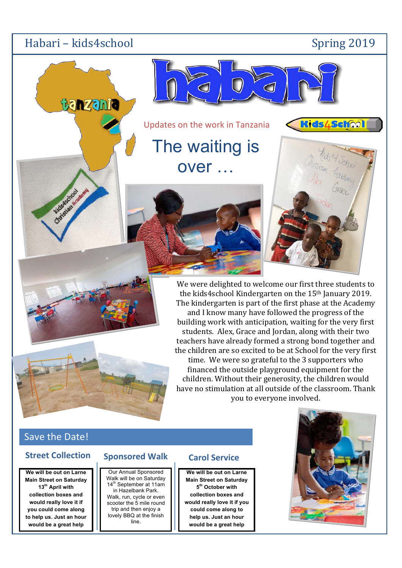**Banzania** 

**Kids4School** 

Updates on the work in Tanzania

The waiting is over …







### Save the Date!

### **Street Collection Sponsored Walk**

**We will be out on Larne Main Street on Saturday 13th April with collection boxes and would really love it if you could come along to help us. Just an hour would be a great help**

**Cur Annual Sponsored** Walk will be on Saturday 14<sup>th</sup> September at 11am in Hazelbank Park. Walk, run, cycle or even scooter the 5 mile round trip and then enjoy a lovely BBQ at the finish line.

### **Carol Service**

1 **would be a great help We will be out on Larne Main Street on Saturday 5th October with collection boxes and would really love it if you could come along to help us. Just an hour** 

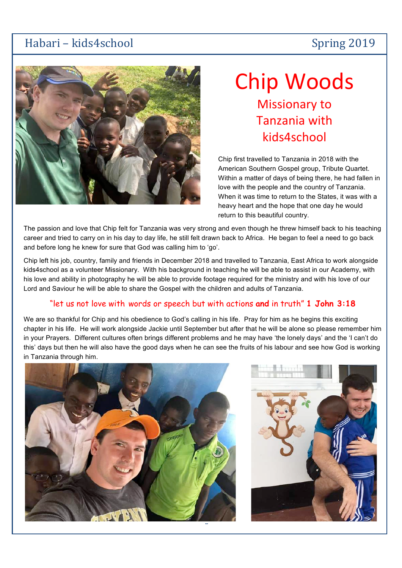

# **Chip Woods Missionary to** Tanzania with kids4school

Chip first travelled to Tanzania in 2018 with the American Southern Gospel group, Tribute Quartet. Within a matter of days of being there, he had fallen in love with the people and the country of Tanzania. When it was time to return to the States, it was with a heavy heart and the hope that one day he would return to this beautiful country.

The passion and love that Chip felt for Tanzania was very strong and even though he threw himself back to his teaching career and tried to carry on in his day to day life, he still felt drawn back to Africa. He began to feel a need to go back and before long he knew for sure that God was calling him to 'go'.

Chip left his job, country, family and friends in December 2018 and travelled to Tanzania, East Africa to work alongside<br>kids4school as a volunteer Missionary. With his background in teaching he will be able to assist in o kids4school as a volunteer Missionary. With his background in teaching he will be able to assist in our Academy, with his love and ability in photography he will be able to provide footage required for the ministry and with his love of our Lord and Saviour he will be able to share the Gospel with the children and adults of Tanzania.

### "let us not love with words or speech but with actions **and** in truth" **1 John 3:18**

We are so thankful for Chip and his obedience to God's calling in his life. Pray for him as he begins this exciting chapter in his life. He will work alongside Jackie until September but after that he will be alone so please remember him in your Prayers. Different cultures often brings different problems and he may have 'the lonely days' and the 'I can't do this' days but then he will also have the good days when he can see the fruits of his labour and see how God is working in Tanzania through him.



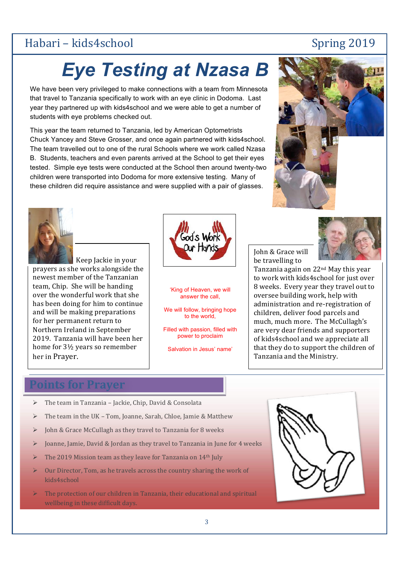# *Eye Testing at Nzasa B*

 $\overline{\phantom{a}}$ We have been very privileged to make connections with a team from Minnesota<br>" that travel to Tanzania specifically to work with an eye clinic in Dodoma. Last year they partnered up with kids4school and we were able to get a number of students with eye problems checked out.

This year the team returned to Tanzania, led by American Optometrists Chuck Yancey and Steve Grosser, and once again partnered with kids4school. The team travelled out to one of the rural Schools where we work called Nzasa B. Students, teachers and even parents arrived at the School to get their eyes tested. Simple eye tests were conducted at the School then around twenty-two children were transported into Dodoma for more extensive testing. Many of these children did require assistance and were supplied with a pair of glasses.





Keep Jackie in your prayers as she works alongside the newest member of the Tanzanian team, Chip. She will be handing over the wonderful work that she has been doing for him to continue and will be making preparations for her permanent return to Northern Ireland in September 2019. Tanzania will have been her home for  $3\frac{1}{2}$  years so remember her in Prayer.



'King of Heaven, we will answer the call,

We will follow, bringing hope to the world,

Filled with passion, filled with power to proclaim

Salvation in Jesus' name'



John & Grace will be travelling to

Tanzania again on 22<sup>nd</sup> May this year to work with kids4school for just over 8 weeks. Every year they travel out to oversee building work, help with administration and re-registration of children, deliver food parcels and much, much more. The McCullagh's are very dear friends and supporters of kids4school and we appreciate all that they do to support the children of Tanzania and the Ministry.

## **Points for Prayer**

- The team in Tanzania Jackie, Chip, David & Consolata
- The team in the UK Tom, Joanne, Sarah, Chloe, Jamie & Matthew
- John & Grace McCullagh as they travel to Tanzania for 8 weeks
- Joanne, Jamie, David & Jordan as they travel to Tanzania in June for 4 weeks
- The 2019 Mission team as they leave for Tanzania on 14<sup>th</sup> July
- Our Director, Tom, as he travels across the country sharing the work of kids4school
- The protection of our children in Tanzania, their educational and spiritual wellbeing in these difficult days.